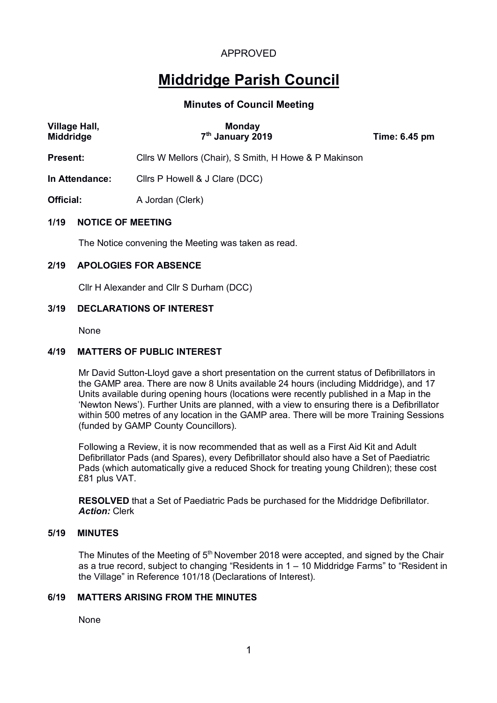# **Middridge Parish Council**

# **Minutes of Council Meeting**

| Village Hall,<br><b>Middridge</b> | <b>Monday</b><br>7 <sup>th</sup> January 2019         | Time: 6.45 pm |  |  |  |
|-----------------------------------|-------------------------------------------------------|---------------|--|--|--|
| Present:                          | Cllrs W Mellors (Chair), S Smith, H Howe & P Makinson |               |  |  |  |
| In Attendance:                    | Clirs P Howell & J Clare (DCC)                        |               |  |  |  |
| Official:                         | A Jordan (Clerk)                                      |               |  |  |  |
| 1/19<br><b>NOTICE OF MEETING</b>  |                                                       |               |  |  |  |

The Notice convening the Meeting was taken as read.

#### **2/19 APOLOGIES FOR ABSENCE**

Cllr H Alexander and Cllr S Durham (DCC)

# **3/19 DECLARATIONS OF INTEREST**

None

# **4/19 MATTERS OF PUBLIC INTEREST**

Mr David Sutton-Lloyd gave a short presentation on the current status of Defibrillators in the GAMP area. There are now 8 Units available 24 hours (including Middridge), and 17 Units available during opening hours (locations were recently published in a Map in the 'Newton News'). Further Units are planned, with a view to ensuring there is a Defibrillator within 500 metres of any location in the GAMP area. There will be more Training Sessions (funded by GAMP County Councillors).

Following a Review, it is now recommended that as well as a First Aid Kit and Adult Defibrillator Pads (and Spares), every Defibrillator should also have a Set of Paediatric Pads (which automatically give a reduced Shock for treating young Children); these cost £81 plus VAT.

**RESOLVED** that a Set of Paediatric Pads be purchased for the Middridge Defibrillator. *Action:* Clerk

#### **5/19 MINUTES**

The Minutes of the Meeting of  $5<sup>th</sup>$  November 2018 were accepted, and signed by the Chair as a true record, subject to changing "Residents in 1 – 10 Middridge Farms" to "Resident in the Village" in Reference 101/18 (Declarations of Interest).

# **6/19 MATTERS ARISING FROM THE MINUTES**

None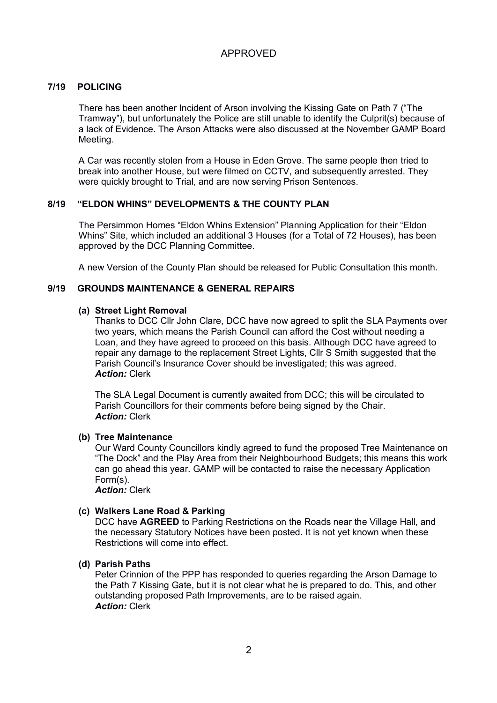# **7/19 POLICING**

There has been another Incident of Arson involving the Kissing Gate on Path 7 ("The Tramway"), but unfortunately the Police are still unable to identify the Culprit(s) because of a lack of Evidence. The Arson Attacks were also discussed at the November GAMP Board Meeting.

A Car was recently stolen from a House in Eden Grove. The same people then tried to break into another House, but were filmed on CCTV, and subsequently arrested. They were quickly brought to Trial, and are now serving Prison Sentences.

#### **8/19 "ELDON WHINS" DEVELOPMENTS & THE COUNTY PLAN**

The Persimmon Homes "Eldon Whins Extension" Planning Application for their "Eldon Whins" Site, which included an additional 3 Houses (for a Total of 72 Houses), has been approved by the DCC Planning Committee.

A new Version of the County Plan should be released for Public Consultation this month.

#### **9/19 GROUNDS MAINTENANCE & GENERAL REPAIRS**

#### **(a) Street Light Removal**

Thanks to DCC Cllr John Clare, DCC have now agreed to split the SLA Payments over two years, which means the Parish Council can afford the Cost without needing a Loan, and they have agreed to proceed on this basis. Although DCC have agreed to repair any damage to the replacement Street Lights, Cllr S Smith suggested that the Parish Council's Insurance Cover should be investigated; this was agreed. *Action:* Clerk

The SLA Legal Document is currently awaited from DCC; this will be circulated to Parish Councillors for their comments before being signed by the Chair. *Action:* Clerk

#### **(b) Tree Maintenance**

Our Ward County Councillors kindly agreed to fund the proposed Tree Maintenance on "The Dock" and the Play Area from their Neighbourhood Budgets; this means this work can go ahead this year. GAMP will be contacted to raise the necessary Application Form(s).

*Action:* Clerk

#### **(c) Walkers Lane Road & Parking**

DCC have **AGREED** to Parking Restrictions on the Roads near the Village Hall, and the necessary Statutory Notices have been posted. It is not yet known when these Restrictions will come into effect.

#### **(d) Parish Paths**

Peter Crinnion of the PPP has responded to queries regarding the Arson Damage to the Path 7 Kissing Gate, but it is not clear what he is prepared to do. This, and other outstanding proposed Path Improvements, are to be raised again. *Action:* Clerk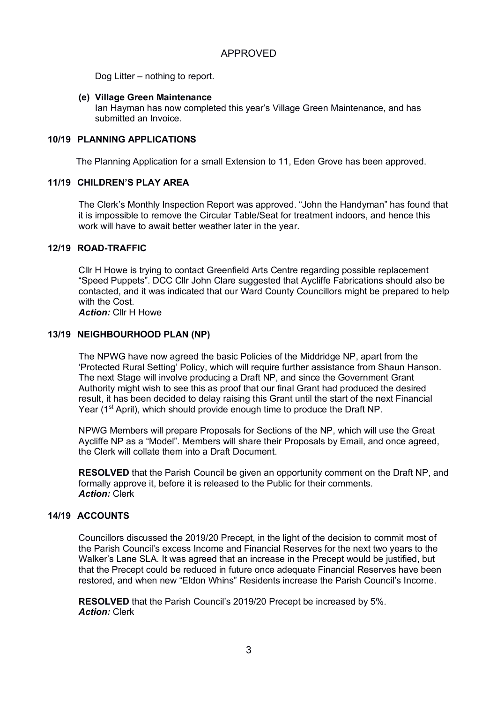Dog Litter – nothing to report.

#### **(e) Village Green Maintenance**

Ian Hayman has now completed this year's Village Green Maintenance, and has submitted an Invoice

# **10/19 PLANNING APPLICATIONS**

The Planning Application for a small Extension to 11, Eden Grove has been approved.

#### **11/19 CHILDREN'S PLAY AREA**

The Clerk's Monthly Inspection Report was approved. "John the Handyman" has found that it is impossible to remove the Circular Table/Seat for treatment indoors, and hence this work will have to await better weather later in the year.

# **12/19 ROAD-TRAFFIC**

Cllr H Howe is trying to contact Greenfield Arts Centre regarding possible replacement "Speed Puppets". DCC Cllr John Clare suggested that Aycliffe Fabrications should also be contacted, and it was indicated that our Ward County Councillors might be prepared to help with the Cost.

*Action:* Cllr H Howe

# **13/19 NEIGHBOURHOOD PLAN (NP)**

The NPWG have now agreed the basic Policies of the Middridge NP, apart from the 'Protected Rural Setting' Policy, which will require further assistance from Shaun Hanson. The next Stage will involve producing a Draft NP, and since the Government Grant Authority might wish to see this as proof that our final Grant had produced the desired result, it has been decided to delay raising this Grant until the start of the next Financial Year (1<sup>st</sup> April), which should provide enough time to produce the Draft NP.

NPWG Members will prepare Proposals for Sections of the NP, which will use the Great Aycliffe NP as a "Model". Members will share their Proposals by Email, and once agreed, the Clerk will collate them into a Draft Document.

**RESOLVED** that the Parish Council be given an opportunity comment on the Draft NP, and formally approve it, before it is released to the Public for their comments. *Action:* Clerk

#### **14/19 ACCOUNTS**

Councillors discussed the 2019/20 Precept, in the light of the decision to commit most of the Parish Council's excess Income and Financial Reserves for the next two years to the Walker's Lane SLA. It was agreed that an increase in the Precept would be justified, but that the Precept could be reduced in future once adequate Financial Reserves have been restored, and when new "Eldon Whins" Residents increase the Parish Council's Income.

**RESOLVED** that the Parish Council's 2019/20 Precept be increased by 5%. *Action:* Clerk